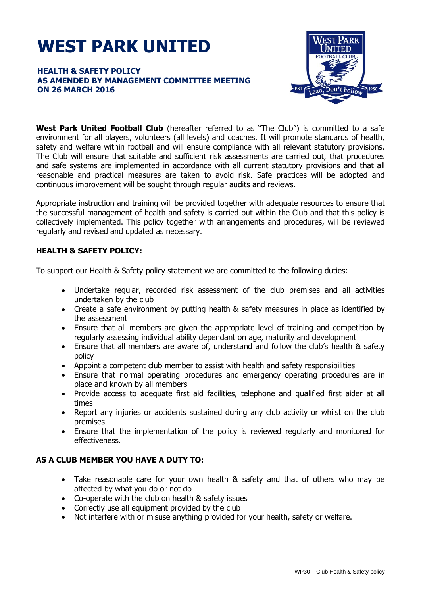# **WEST PARK UNITED**

#### **HEALTH & SAFETY POLICY AS AMENDED BY MANAGEMENT COMMITTEE MEETING ON 26 MARCH 2016**



West Park United Football Club (hereafter referred to as "The Club") is committed to a safe environment for all players, volunteers (all levels) and coaches. It will promote standards of health, safety and welfare within football and will ensure compliance with all relevant statutory provisions. The Club will ensure that suitable and sufficient risk assessments are carried out, that procedures and safe systems are implemented in accordance with all current statutory provisions and that all reasonable and practical measures are taken to avoid risk. Safe practices will be adopted and continuous improvement will be sought through regular audits and reviews.

Appropriate instruction and training will be provided together with adequate resources to ensure that the successful management of health and safety is carried out within the Club and that this policy is collectively implemented. This policy together with arrangements and procedures, will be reviewed regularly and revised and updated as necessary.

# **HEALTH & SAFETY POLICY:**

To support our Health & Safety policy statement we are committed to the following duties:

- Undertake regular, recorded risk assessment of the club premises and all activities undertaken by the club
- Create a safe environment by putting health & safety measures in place as identified by the assessment
- Ensure that all members are given the appropriate level of training and competition by regularly assessing individual ability dependant on age, maturity and development
- Ensure that all members are aware of, understand and follow the club's health & safety policy
- Appoint a competent club member to assist with health and safety responsibilities
- Ensure that normal operating procedures and emergency operating procedures are in place and known by all members
- Provide access to adequate first aid facilities, telephone and qualified first aider at all times
- Report any injuries or accidents sustained during any club activity or whilst on the club premises
- Ensure that the implementation of the policy is reviewed regularly and monitored for effectiveness.

# **AS A CLUB MEMBER YOU HAVE A DUTY TO:**

- Take reasonable care for your own health & safety and that of others who may be affected by what you do or not do
- Co-operate with the club on health & safety issues
- Correctly use all equipment provided by the club
- Not interfere with or misuse anything provided for your health, safety or welfare.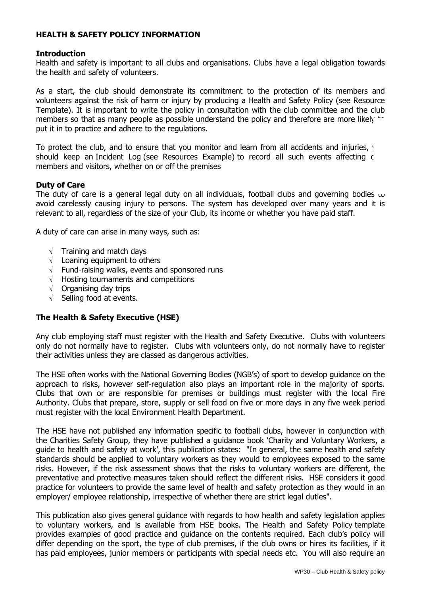# **HEALTH & SAFETY POLICY INFORMATION**

#### **Introduction**

Health and safety is important to all clubs and organisations. Clubs have a legal obligation towards the health and safety of volunteers.

As a start, the club should demonstrate its commitment to the protection of its members and volunteers against the risk of harm or injury by producing a Health and Safety Policy (see Resource Template). It is important to write the policy in consultation with the club committee and the club members so that as many people as possible understand the policy and therefore are more likely put it in to practice and adhere to the regulations.

To protect the club, and to ensure that you monitor and learn from all accidents and injuries, you should keep an Incident Log (see Resources Example) to record all such events affecting club members and visitors, whether on or off the premises

#### **Duty of Care**

The duty of care is a general legal duty on all individuals, football clubs and governing bodies  $\omega$ avoid carelessly causing injury to persons. The system has developed over many years and it is relevant to all, regardless of the size of your Club, its income or whether you have paid staff.

A duty of care can arise in many ways, such as:

- $\sqrt{ }$  Training and match days
- $\sqrt{ }$  Loaning equipment to others
- $\sqrt{ }$  Fund-raising walks, events and sponsored runs
- $\sqrt{ }$  Hosting tournaments and competitions
- $\sqrt{ }$  Organising day trips
- $\sqrt{\phantom{a}}$  Selling food at events.

## **The Health & Safety Executive (HSE)**

Any club employing staff must register with the Health and Safety Executive. Clubs with volunteers only do not normally have to register. Clubs with volunteers only, do not normally have to register their activities unless they are classed as dangerous activities.

The HSE often works with the National Governing Bodies (NGB's) of sport to develop guidance on the approach to risks, however self-regulation also plays an important role in the majority of sports. Clubs that own or are responsible for premises or buildings must register with the local Fire Authority. Clubs that prepare, store, supply or sell food on five or more days in any five week period must register with the local Environment Health Department.

The HSE have not published any information specific to football clubs, however in conjunction with the Charities Safety Group, they have published a guidance book 'Charity and Voluntary Workers, a guide to health and safety at work', this publication states: "In general, the same health and safety standards should be applied to voluntary workers as they would to employees exposed to the same risks. However, if the risk assessment shows that the risks to voluntary workers are different, the preventative and protective measures taken should reflect the different risks. HSE considers it good practice for volunteers to provide the same level of health and safety protection as they would in an employer/ employee relationship, irrespective of whether there are strict legal duties".

This publication also gives general guidance with regards to how health and safety legislation applies to voluntary workers, and is available from HSE books. The Health and Safety Policy template provides examples of good practice and guidance on the contents required. Each club's policy will differ depending on the sport, the type of club premises, if the club owns or hires its facilities, if it has paid employees, junior members or participants with special needs etc. You will also require an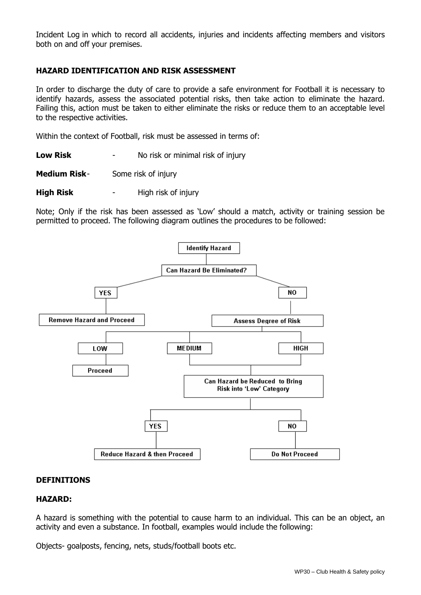Incident Log in which to record all accidents, injuries and incidents affecting members and visitors both on and off your premises.

# **HAZARD IDENTIFICATION AND RISK ASSESSMENT**

In order to discharge the duty of care to provide a safe environment for Football it is necessary to identify hazards, assess the associated potential risks, then take action to eliminate the hazard. Failing this, action must be taken to either eliminate the risks or reduce them to an acceptable level to the respective activities.

Within the context of Football, risk must be assessed in terms of:

- **Low Risk** No risk or minimal risk of injury
- **Medium Risk** Some risk of injury

**High Risk Theory Control High risk of injury** 

Note; Only if the risk has been assessed as 'Low' should a match, activity or training session be permitted to proceed. The following diagram outlines the procedures to be followed:



## **DEFINITIONS**

## **HAZARD:**

A hazard is something with the potential to cause harm to an individual. This can be an object, an activity and even a substance. In football, examples would include the following:

Objects- goalposts, fencing, nets, studs/football boots etc.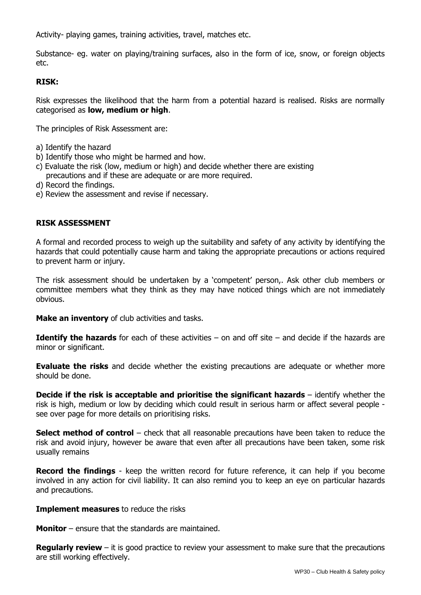Activity- playing games, training activities, travel, matches etc.

Substance- eg. water on playing/training surfaces, also in the form of ice, snow, or foreign objects etc.

## **RISK:**

Risk expresses the likelihood that the harm from a potential hazard is realised. Risks are normally categorised as **low, medium or high**.

The principles of Risk Assessment are:

- a) Identify the hazard
- b) Identify those who might be harmed and how.
- c) Evaluate the risk (low, medium or high) and decide whether there are existing precautions and if these are adequate or are more required.
- d) Record the findings.
- e) Review the assessment and revise if necessary.

#### **RISK ASSESSMENT**

A formal and recorded process to weigh up the suitability and safety of any activity by identifying the hazards that could potentially cause harm and taking the appropriate precautions or actions required to prevent harm or injury.

The risk assessment should be undertaken by a 'competent' person,. Ask other club members or committee members what they think as they may have noticed things which are not immediately obvious.

**Make an inventory** of club activities and tasks.

**Identify the hazards** for each of these activities – on and off site – and decide if the hazards are minor or significant.

**Evaluate the risks** and decide whether the existing precautions are adequate or whether more should be done.

**Decide if the risk is acceptable and prioritise the significant hazards** – identify whether the risk is high, medium or low by deciding which could result in serious harm or affect several people see over page for more details on prioritising risks.

**Select method of control** – check that all reasonable precautions have been taken to reduce the risk and avoid injury, however be aware that even after all precautions have been taken, some risk usually remains

**Record the findings** - keep the written record for future reference, it can help if you become involved in any action for civil liability. It can also remind you to keep an eye on particular hazards and precautions.

**Implement measures** to reduce the risks

**Monitor** – ensure that the standards are maintained.

**Regularly review** – it is good practice to review your assessment to make sure that the precautions are still working effectively.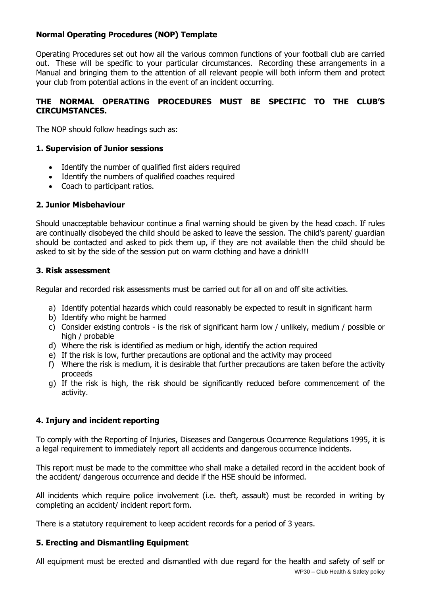# **Normal Operating Procedures (NOP) Template**

Operating Procedures set out how all the various common functions of your football club are carried out. These will be specific to your particular circumstances. Recording these arrangements in a Manual and bringing them to the attention of all relevant people will both inform them and protect your club from potential actions in the event of an incident occurring.

# **THE NORMAL OPERATING PROCEDURES MUST BE SPECIFIC TO THE CLUB'S CIRCUMSTANCES.**

The NOP should follow headings such as:

# **1. Supervision of Junior sessions**

- Identify the number of qualified first aiders required
- Identify the numbers of qualified coaches required
- Coach to participant ratios.

# **2. Junior Misbehaviour**

Should unacceptable behaviour continue a final warning should be given by the head coach. If rules are continually disobeyed the child should be asked to leave the session. The child's parent/ guardian should be contacted and asked to pick them up, if they are not available then the child should be asked to sit by the side of the session put on warm clothing and have a drink!!!

## **3. Risk assessment**

Regular and recorded risk assessments must be carried out for all on and off site activities.

- a) Identify potential hazards which could reasonably be expected to result in significant harm
- b) Identify who might be harmed
- c) Consider existing controls is the risk of significant harm low / unlikely, medium / possible or high / probable
- d) Where the risk is identified as medium or high, identify the action required
- e) If the risk is low, further precautions are optional and the activity may proceed
- f) Where the risk is medium, it is desirable that further precautions are taken before the activity proceeds
- g) If the risk is high, the risk should be significantly reduced before commencement of the activity.

# **4. Injury and incident reporting**

To comply with the Reporting of Injuries, Diseases and Dangerous Occurrence Regulations 1995, it is a legal requirement to immediately report all accidents and dangerous occurrence incidents.

This report must be made to the committee who shall make a detailed record in the accident book of the accident/ dangerous occurrence and decide if the HSE should be informed.

All incidents which require police involvement (i.e. theft, assault) must be recorded in writing by completing an accident/ incident report form.

There is a statutory requirement to keep accident records for a period of 3 years.

## **5. Erecting and Dismantling Equipment**

WP30 – Club Health & Safety policy All equipment must be erected and dismantled with due regard for the health and safety of self or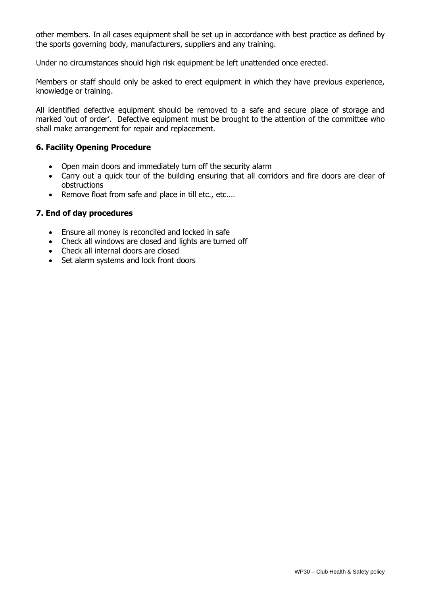other members. In all cases equipment shall be set up in accordance with best practice as defined by the sports governing body, manufacturers, suppliers and any training.

Under no circumstances should high risk equipment be left unattended once erected.

Members or staff should only be asked to erect equipment in which they have previous experience, knowledge or training.

All identified defective equipment should be removed to a safe and secure place of storage and marked 'out of order'. Defective equipment must be brought to the attention of the committee who shall make arrangement for repair and replacement.

# **6. Facility Opening Procedure**

- Open main doors and immediately turn off the security alarm
- Carry out a quick tour of the building ensuring that all corridors and fire doors are clear of obstructions
- Remove float from safe and place in till etc., etc....

#### **7. End of day procedures**

- Ensure all money is reconciled and locked in safe
- Check all windows are closed and lights are turned off
- Check all internal doors are closed
- Set alarm systems and lock front doors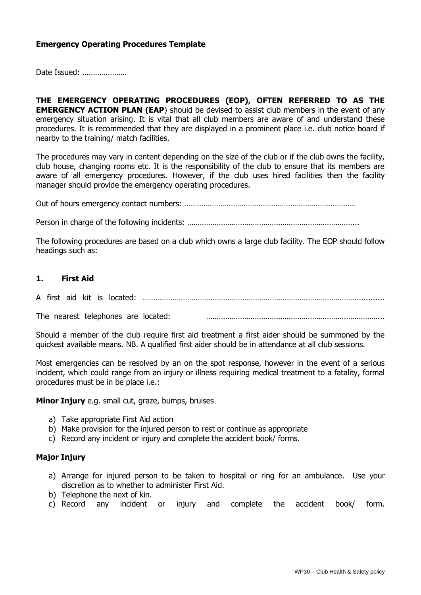# **Emergency Operating Procedures Template**

Date Issued: …………………

**THE EMERGENCY OPERATING PROCEDURES (EOP), OFTEN REFERRED TO AS THE EMERGENCY ACTION PLAN (EAP)** should be devised to assist club members in the event of any emergency situation arising. It is vital that all club members are aware of and understand these procedures. It is recommended that they are displayed in a prominent place i.e. club notice board if nearby to the training/ match facilities.

The procedures may vary in content depending on the size of the club or if the club owns the facility, club house, changing rooms etc. It is the responsibility of the club to ensure that its members are aware of all emergency procedures. However, if the club uses hired facilities then the facility manager should provide the emergency operating procedures.

Out of hours emergency contact numbers: ………………………………………………………………………

Person in charge of the following incidents: ……………………………………………………………………………………………

The following procedures are based on a club which owns a large club facility. The EOP should follow headings such as:

#### **1. First Aid**

A first aid kit is located: …………………………………………………………………………………………...........

The nearest telephones are located: ………………………………………………………………………...

Should a member of the club require first aid treatment a first aider should be summoned by the quickest available means. NB. A qualified first aider should be in attendance at all club sessions.

Most emergencies can be resolved by an on the spot response, however in the event of a serious incident, which could range from an injury or illness requiring medical treatment to a fatality, formal procedures must be in be place i.e.:

**Minor Injury** e.g. small cut, graze, bumps, bruises

- a) Take appropriate First Aid action
- b) Make provision for the injured person to rest or continue as appropriate
- c) Record any incident or injury and complete the accident book/ forms.

## **Major Injury**

- a) Arrange for injured person to be taken to hospital or ring for an ambulance. Use your discretion as to whether to administer First Aid.
- b) Telephone the next of kin.
- c) Record any incident or injury and complete the accident book/ form.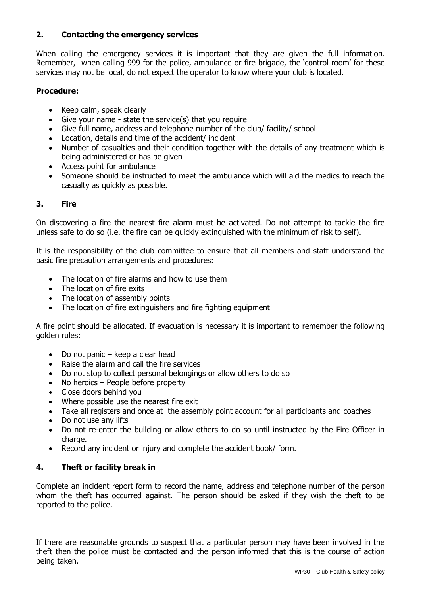# **2. Contacting the emergency services**

When calling the emergency services it is important that they are given the full information. Remember, when calling 999 for the police, ambulance or fire brigade, the 'control room' for these services may not be local, do not expect the operator to know where your club is located.

# **Procedure:**

- Keep calm, speak clearly
- Give your name state the service(s) that you require
- Give full name, address and telephone number of the club/ facility/ school
- Location, details and time of the accident/ incident
- Number of casualties and their condition together with the details of any treatment which is being administered or has be given
- Access point for ambulance
- Someone should be instructed to meet the ambulance which will aid the medics to reach the casualty as quickly as possible.

# **3. Fire**

On discovering a fire the nearest fire alarm must be activated. Do not attempt to tackle the fire unless safe to do so (i.e. the fire can be quickly extinguished with the minimum of risk to self).

It is the responsibility of the club committee to ensure that all members and staff understand the basic fire precaution arrangements and procedures:

- The location of fire alarms and how to use them
- The location of fire exits
- The location of assembly points
- The location of fire extinguishers and fire fighting equipment

A fire point should be allocated. If evacuation is necessary it is important to remember the following golden rules:

- Do not panic keep a clear head
- Raise the alarm and call the fire services
- Do not stop to collect personal belongings or allow others to do so
- No heroics People before property
- Close doors behind you
- Where possible use the nearest fire exit
- Take all registers and once at the assembly point account for all participants and coaches
- Do not use any lifts
- Do not re-enter the building or allow others to do so until instructed by the Fire Officer in charge.
- Record any incident or injury and complete the accident book/ form.

# **4. Theft or facility break in**

Complete an incident report form to record the name, address and telephone number of the person whom the theft has occurred against. The person should be asked if they wish the theft to be reported to the police.

If there are reasonable grounds to suspect that a particular person may have been involved in the theft then the police must be contacted and the person informed that this is the course of action being taken.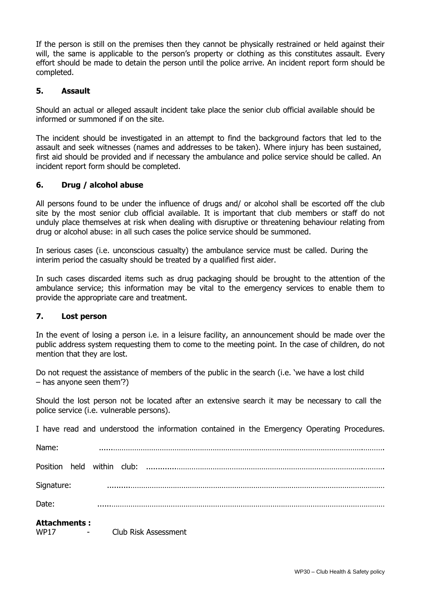If the person is still on the premises then they cannot be physically restrained or held against their will, the same is applicable to the person's property or clothing as this constitutes assault. Every effort should be made to detain the person until the police arrive. An incident report form should be completed.

# **5. Assault**

Should an actual or alleged assault incident take place the senior club official available should be informed or summoned if on the site.

The incident should be investigated in an attempt to find the background factors that led to the assault and seek witnesses (names and addresses to be taken). Where injury has been sustained, first aid should be provided and if necessary the ambulance and police service should be called. An incident report form should be completed.

# **6. Drug / alcohol abuse**

All persons found to be under the influence of drugs and/ or alcohol shall be escorted off the club site by the most senior club official available. It is important that club members or staff do not unduly place themselves at risk when dealing with disruptive or threatening behaviour relating from drug or alcohol abuse: in all such cases the police service should be summoned.

In serious cases (i.e. unconscious casualty) the ambulance service must be called. During the interim period the casualty should be treated by a qualified first aider.

In such cases discarded items such as drug packaging should be brought to the attention of the ambulance service; this information may be vital to the emergency services to enable them to provide the appropriate care and treatment.

## **7. Lost person**

In the event of losing a person i.e. in a leisure facility, an announcement should be made over the public address system requesting them to come to the meeting point. In the case of children, do not mention that they are lost.

Do not request the assistance of members of the public in the search (i.e. 'we have a lost child – has anyone seen them'?)

Should the lost person not be located after an extensive search it may be necessary to call the police service (i.e. vulnerable persons).

I have read and understood the information contained in the Emergency Operating Procedures.

Name: ......……………………………………………………………………………………………………….……….

Position held within club: .............…………………………………………………………………………….……….

Signature: ..........…………………………………………………………………………………………………………

Date: ......…………………………………………………………………………………………………………………

# **Attachments :**

WP17 - Club Risk Assessment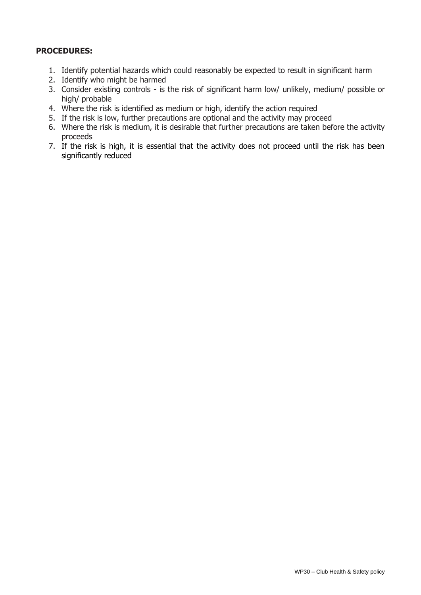# **PROCEDURES:**

- 1. Identify potential hazards which could reasonably be expected to result in significant harm
- 2. Identify who might be harmed
- 3. Consider existing controls is the risk of significant harm low/ unlikely, medium/ possible or high/ probable
- 4. Where the risk is identified as medium or high, identify the action required
- 5. If the risk is low, further precautions are optional and the activity may proceed
- 6. Where the risk is medium, it is desirable that further precautions are taken before the activity proceeds
- 7. If the risk is high, it is essential that the activity does not proceed until the risk has been significantly reduced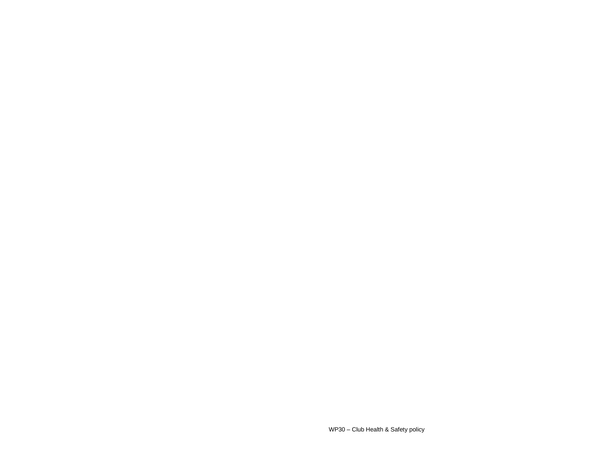WP30 – Club Health & Safety policy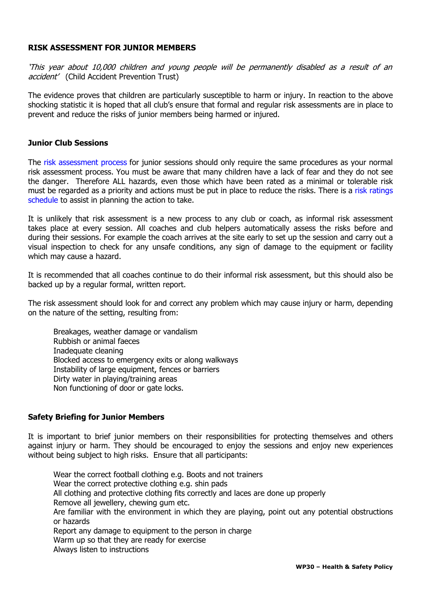## **RISK ASSESSMENT FOR JUNIOR MEMBERS**

'This year about 10,000 children and young people will be permanently disabled as <sup>a</sup> result of an accident' (Child Accident Prevention Trust)

The evidence proves that children are particularly susceptible to harm or injury. In reaction to the above shocking statistic it is hoped that all club's ensure that formal and regular risk assessments are in place to prevent and reduce the risks of junior members being harmed or injured.

#### **Junior Club Sessions**

The risk [assessment](http://www.helpforclubs.org.uk/NR/rdonlyres/6EA0B817-3074-42CB-A147-E72839D8DA71/0/riskassessmenttemplate.doc) process for junior sessions should only require the same procedures as your normal risk assessment process. You must be aware that many children have a lack of fear and they do not see the danger. Therefore ALL hazards, even those which have been rated as a minimal or tolerable risk must be regarded as a priority and actions must be put in place to reduce the risks. There is a risk [ratings](http://www.helpforclubs.org.uk/NR/rdonlyres/C116C0D6-EBB8-4236-9297-E1B7CFD7C5CE/0/riskratingstemplate.doc) [schedule](http://www.helpforclubs.org.uk/NR/rdonlyres/C116C0D6-EBB8-4236-9297-E1B7CFD7C5CE/0/riskratingstemplate.doc) to assist in planning the action to take.

It is unlikely that risk assessment is a new process to any club or coach, as informal risk assessment takes place at every session. All coaches and club helpers automatically assess the risks before and during their sessions. For example the coach arrives at the site early to set up the session and carry out a visual inspection to check for any unsafe conditions, any sign of damage to the equipment or facility which may cause a hazard.

It is recommended that all coaches continue to do their informal risk assessment, but this should also be backed up by a regular formal, written report.

The risk assessment should look for and correct any problem which may cause injury or harm, depending on the nature of the setting, resulting from:

Breakages, weather damage or vandalism Rubbish or animal faeces Inadequate cleaning Blocked access to emergency exits or along walkways Instability of large equipment, fences or barriers Dirty water in playing/training areas Non functioning of door or gate locks.

## **Safety Briefing for Junior Members**

It is important to brief junior members on their responsibilities for protecting themselves and others against injury or harm. They should be encouraged to enjoy the sessions and enjoy new experiences without being subject to high risks. Ensure that all participants:

Wear the correct football clothing e.g. Boots and not trainers Wear the correct protective clothing e.g. shin pads All clothing and protective clothing fits correctly and laces are done up properly Remove all jewellery, chewing gum etc. Are familiar with the environment in which they are playing, point out any potential obstructions or hazards Report any damage to equipment to the person in charge Warm up so that they are ready for exercise Always listen to instructions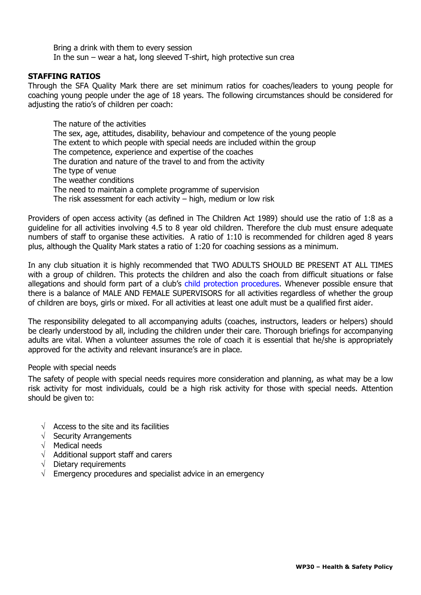Bring a drink with them to every session In the sun – wear a hat, long sleeved T-shirt, high protective sun crea

## **STAFFING RATIOS**

Through the SFA Quality Mark there are set minimum ratios for coaches/leaders to young people for coaching young people under the age of 18 years. The following circumstances should be considered for adjusting the ratio's of children per coach:

The nature of the activities The sex, age, attitudes, disability, behaviour and competence of the young people The extent to which people with special needs are included within the group The competence, experience and expertise of the coaches The duration and nature of the travel to and from the activity The type of venue The weather conditions The need to maintain a complete programme of supervision The risk assessment for each activity  $-$  high, medium or low risk

Providers of open access activity (as defined in The Children Act 1989) should use the ratio of 1:8 as a guideline for all activities involving 4.5 to 8 year old children. Therefore the club must ensure adequate numbers of staff to organise these activities. A ratio of 1:10 is recommended for children aged 8 years plus, although the Quality Mark states a ratio of 1:20 for coaching sessions as a minimum.

In any club situation it is highly recommended that TWO ADULTS SHOULD BE PRESENT AT ALL TIMES with a group of children. This protects the children and also the coach from difficult situations or false allegations and should form part of a club's child protection [procedures.](http://www.helpforclubs.org.uk/TopicNavigation/Managing+your+club/Child+protection.htm) Whenever possible ensure that there is a balance of MALE AND FEMALE SUPERVISORS for all activities regardless of whether the group of children are boys, girls or mixed. For all activities at least one adult must be a qualified first aider.

The responsibility delegated to all accompanying adults (coaches, instructors, leaders or helpers) should be clearly understood by all, including the children under their care. Thorough briefings for accompanying adults are vital. When a volunteer assumes the role of coach it is essential that he/she is appropriately approved for the activity and relevant insurance's are in place.

## People with special needs

The safety of people with special needs requires more consideration and planning, as what may be a low risk activity for most individuals, could be a high risk activity for those with special needs. Attention should be given to:

- $\sqrt{ }$  Access to the site and its facilities
- $\sqrt{\phantom{a}}$  Security Arrangements
- $\sqrt{\phantom{a}}$  Medical needs
- $\sqrt{\phantom{a}}$  Additional support staff and carers
- $\sqrt{\phantom{a}}$  Dietary requirements
- $\sqrt{\phantom{a}}$  Emergency procedures and specialist advice in an emergency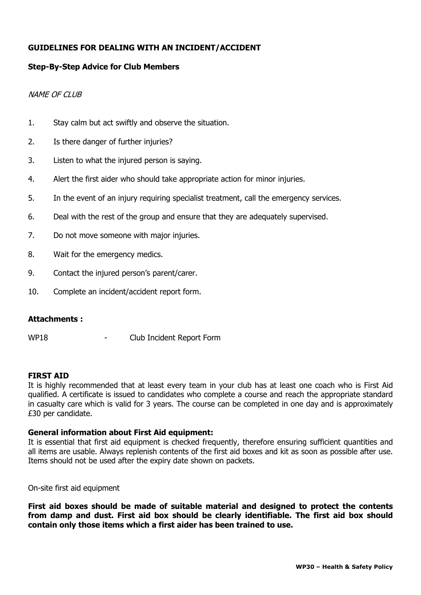# **GUIDELINES FOR DEALING WITH AN INCIDENT/ACCIDENT**

# **Step-By-Step Advice for Club Members**

# NAME OF CLUB

- 1. Stay calm but act swiftly and observe the situation.
- 2. Is there danger of further injuries?
- 3. Listen to what the injured person is saying.
- 4. Alert the first aider who should take appropriate action for minor injuries.
- 5. In the event of an injury requiring specialist treatment, call the emergency services.
- 6. Deal with the rest of the group and ensure that they are adequately supervised.
- 7. Do not move someone with major injuries.
- 8. Wait for the emergency medics.
- 9. Contact the injured person's parent/carer.
- 10. Complete an incident/accident report form.

## **Attachments :**

WP18 - Club Incident Report Form

## **FIRST AID**

It is highly recommended that at least every team in your club has at least one coach who is First Aid qualified. A certificate is issued to candidates who complete a course and reach the appropriate standard in casualty care which is valid for 3 years. The course can be completed in one day and is approximately £30 per candidate.

## **General information about First Aid equipment:**

It is essential that first aid equipment is checked frequently, therefore ensuring sufficient quantities and all items are usable. Always replenish contents of the first aid boxes and kit as soon as possible after use. Items should not be used after the expiry date shown on packets.

On-site first aid equipment

**First aid boxes should be made of suitable material and designed to protect the contents from damp and dust. First aid box should be clearly identifiable. The first aid box should contain only those items which a first aider has been trained to use.**